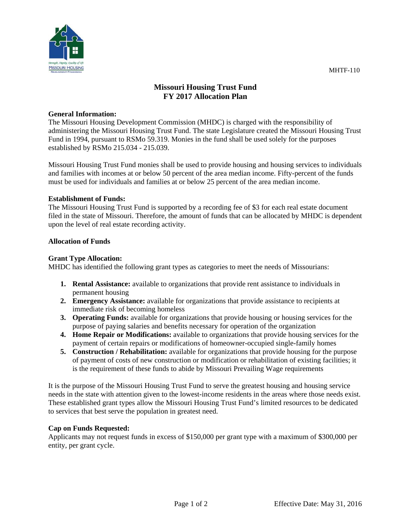

# **Missouri Housing Trust Fund FY 2017 Allocation Plan**

#### **General Information:**

The Missouri Housing Development Commission (MHDC) is charged with the responsibility of administering the Missouri Housing Trust Fund. The state Legislature created the Missouri Housing Trust Fund in 1994, pursuant to RSMo 59.319. Monies in the fund shall be used solely for the purposes established by RSMo 215.034 - 215.039.

Missouri Housing Trust Fund monies shall be used to provide housing and housing services to individuals and families with incomes at or below 50 percent of the area median income. Fifty-percent of the funds must be used for individuals and families at or below 25 percent of the area median income.

## **Establishment of Funds:**

The Missouri Housing Trust Fund is supported by a recording fee of \$3 for each real estate document filed in the state of Missouri. Therefore, the amount of funds that can be allocated by MHDC is dependent upon the level of real estate recording activity.

## **Allocation of Funds**

## **Grant Type Allocation:**

MHDC has identified the following grant types as categories to meet the needs of Missourians:

- **1. Rental Assistance:** available to organizations that provide rent assistance to individuals in permanent housing
- **2. Emergency Assistance:** available for organizations that provide assistance to recipients at immediate risk of becoming homeless
- **3. Operating Funds:** available for organizations that provide housing or housing services for the purpose of paying salaries and benefits necessary for operation of the organization
- **4. Home Repair or Modifications:** available to organizations that provide housing services for the payment of certain repairs or modifications of homeowner-occupied single-family homes
- **5. Construction / Rehabilitation:** available for organizations that provide housing for the purpose of payment of costs of new construction or modification or rehabilitation of existing facilities; it is the requirement of these funds to abide by Missouri Prevailing Wage requirements

It is the purpose of the Missouri Housing Trust Fund to serve the greatest housing and housing service needs in the state with attention given to the lowest-income residents in the areas where those needs exist. These established grant types allow the Missouri Housing Trust Fund's limited resources to be dedicated to services that best serve the population in greatest need.

#### **Cap on Funds Requested:**

Applicants may not request funds in excess of \$150,000 per grant type with a maximum of \$300,000 per entity, per grant cycle.